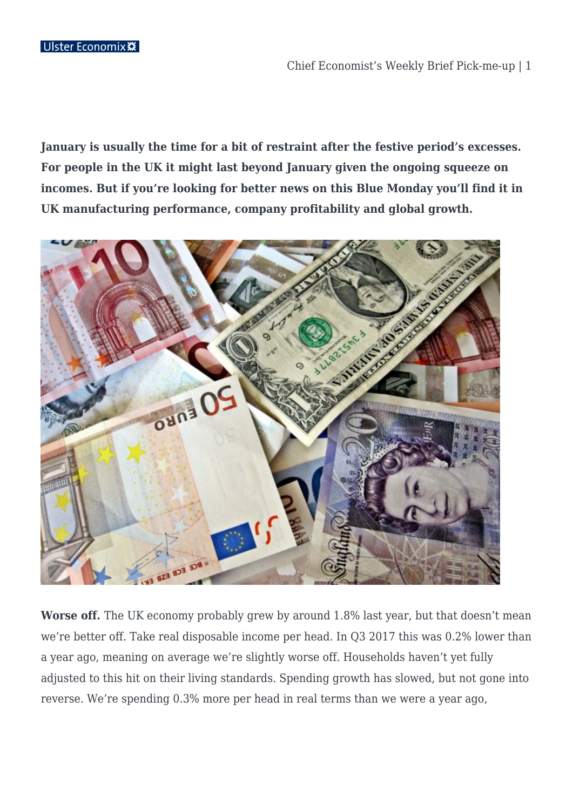**January is usually the time for a bit of restraint after the festive period's excesses. For people in the UK it might last beyond January given the ongoing squeeze on incomes. But if you're looking for better news on this Blue Monday you'll find it in UK manufacturing performance, company profitability and global growth.**



**Worse off.** The UK economy probably grew by around 1.8% last year, but that doesn't mean we're better off. Take real disposable income per head. In Q3 2017 this was 0.2% lower than a year ago, meaning on average we're slightly worse off. Households haven't yet fully adjusted to this hit on their living standards. Spending growth has slowed, but not gone into reverse. We're spending 0.3% more per head in real terms than we were a year ago,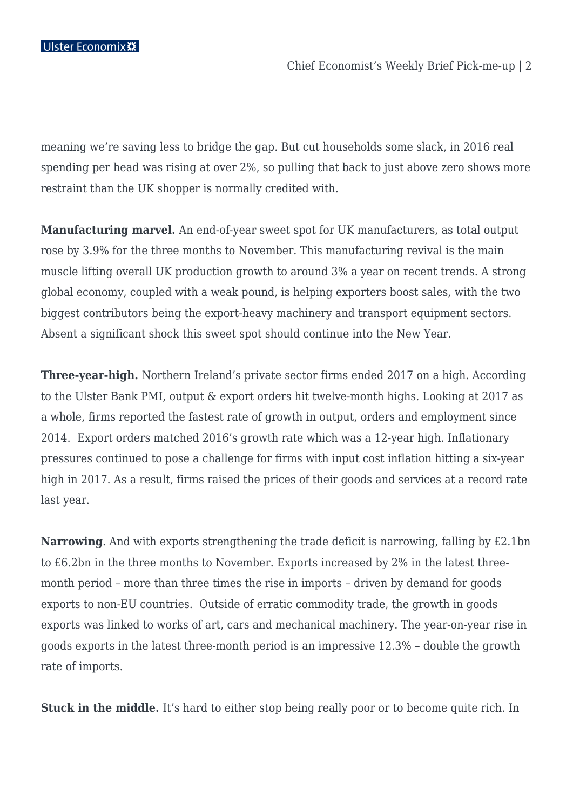meaning we're saving less to bridge the gap. But cut households some slack, in 2016 real spending per head was rising at over 2%, so pulling that back to just above zero shows more restraint than the UK shopper is normally credited with.

**Manufacturing marvel.** An end-of-year sweet spot for UK manufacturers, as total output rose by 3.9% for the three months to November. This manufacturing revival is the main muscle lifting overall UK production growth to around 3% a year on recent trends. A strong global economy, coupled with a weak pound, is helping exporters boost sales, with the two biggest contributors being the export-heavy machinery and transport equipment sectors. Absent a significant shock this sweet spot should continue into the New Year.

**Three-year-high.** Northern Ireland's private sector firms ended 2017 on a high. According to the Ulster Bank PMI, output & export orders hit twelve-month highs. Looking at 2017 as a whole, firms reported the fastest rate of growth in output, orders and employment since 2014. Export orders matched 2016's growth rate which was a 12-year high. Inflationary pressures continued to pose a challenge for firms with input cost inflation hitting a six-year high in 2017. As a result, firms raised the prices of their goods and services at a record rate last year.

**Narrowing**. And with exports strengthening the trade deficit is narrowing, falling by £2.1bn to £6.2bn in the three months to November. Exports increased by 2% in the latest threemonth period – more than three times the rise in imports – driven by demand for goods exports to non-EU countries. Outside of erratic commodity trade, the growth in goods exports was linked to works of art, cars and mechanical machinery. The year-on-year rise in goods exports in the latest three-month period is an impressive 12.3% – double the growth rate of imports.

**Stuck in the middle.** It's hard to either stop being really poor or to become quite rich. In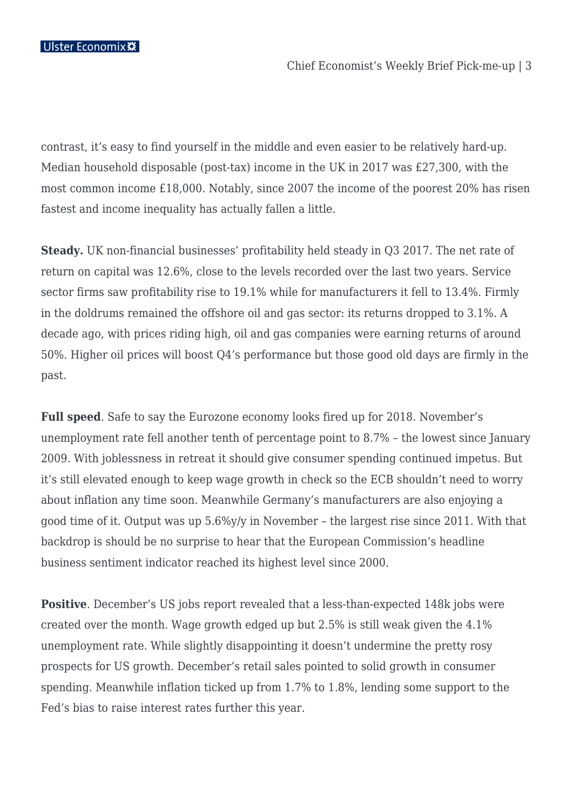contrast, it's easy to find yourself in the middle and even easier to be relatively hard-up. Median household disposable (post-tax) income in the UK in 2017 was £27,300, with the most common income £18,000. Notably, since 2007 the income of the poorest 20% has risen fastest and income inequality has actually fallen a little.

**Steady.** UK non-financial businesses' profitability held steady in Q3 2017. The net rate of return on capital was 12.6%, close to the levels recorded over the last two years. Service sector firms saw profitability rise to 19.1% while for manufacturers it fell to 13.4%. Firmly in the doldrums remained the offshore oil and gas sector: its returns dropped to 3.1%. A decade ago, with prices riding high, oil and gas companies were earning returns of around 50%. Higher oil prices will boost Q4's performance but those good old days are firmly in the past.

**Full speed**. Safe to say the Eurozone economy looks fired up for 2018. November's unemployment rate fell another tenth of percentage point to 8.7% – the lowest since January 2009. With joblessness in retreat it should give consumer spending continued impetus. But it's still elevated enough to keep wage growth in check so the ECB shouldn't need to worry about inflation any time soon. Meanwhile Germany's manufacturers are also enjoying a good time of it. Output was up 5.6%y/y in November – the largest rise since 2011. With that backdrop is should be no surprise to hear that the European Commission's headline business sentiment indicator reached its highest level since 2000.

**Positive**. December's US jobs report revealed that a less-than-expected 148k jobs were created over the month. Wage growth edged up but 2.5% is still weak given the 4.1% unemployment rate. While slightly disappointing it doesn't undermine the pretty rosy prospects for US growth. December's retail sales pointed to solid growth in consumer spending. Meanwhile inflation ticked up from 1.7% to 1.8%, lending some support to the Fed's bias to raise interest rates further this year.